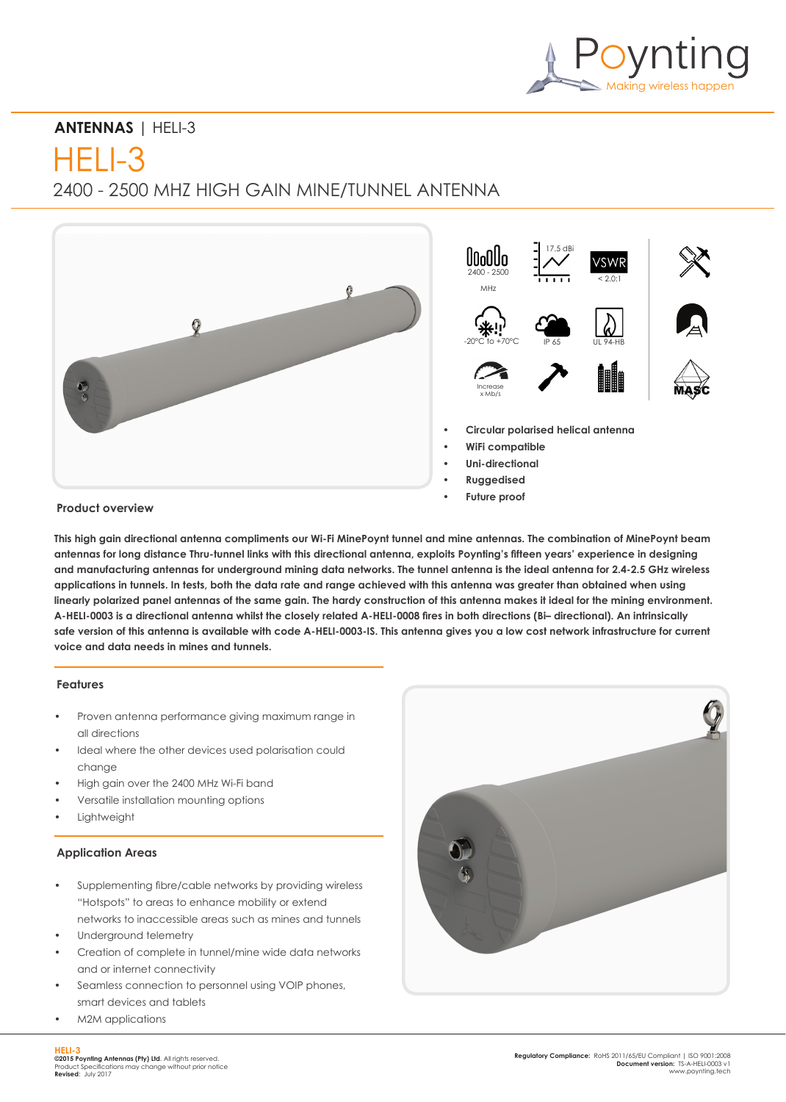

# **ANTENNAS** | HELI-3

 $HFI$   $-3$ 

2400 - 2500 MHZ HIGH GAIN MINE/TUNNEL ANTENNA



# **Product overview**

**This high gain directional antenna compliments our Wi-Fi MinePoynt tunnel and mine antennas. The combination of MinePoynt beam antennas for long distance Thru-tunnel links with this directional antenna, exploits Poynting's fifteen years' experience in designing and manufacturing antennas for underground mining data networks. The tunnel antenna is the ideal antenna for 2.4-2.5 GHz wireless applications in tunnels. In tests, both the data rate and range achieved with this antenna was greater than obtained when using linearly polarized panel antennas of the same gain. The hardy construction of this antenna makes it ideal for the mining environment. A-HELI-0003 is a directional antenna whilst the closely related A-HELI-0008 fires in both directions (Bi– directional). An intrinsically safe version of this antenna is available with code A-HELI-0003-IS. This antenna gives you a low cost network infrastructure for current voice and data needs in mines and tunnels.** 

## **Features**

- Proven antenna performance giving maximum range in all directions
- Ideal where the other devices used polarisation could change
- High gain over the 2400 MHz Wi-Fi band
- Versatile installation mounting options
- **Lightweight**

### **Application Areas**

- Supplementing fibre/cable networks by providing wireless "Hotspots" to areas to enhance mobility or extend
- networks to inaccessible areas such as mines and tunnels Underground telemetry
- Creation of complete in tunnel/mine wide data networks and or internet connectivity
- Seamless connection to personnel using VOIP phones, smart devices and tablets
- M2M applications

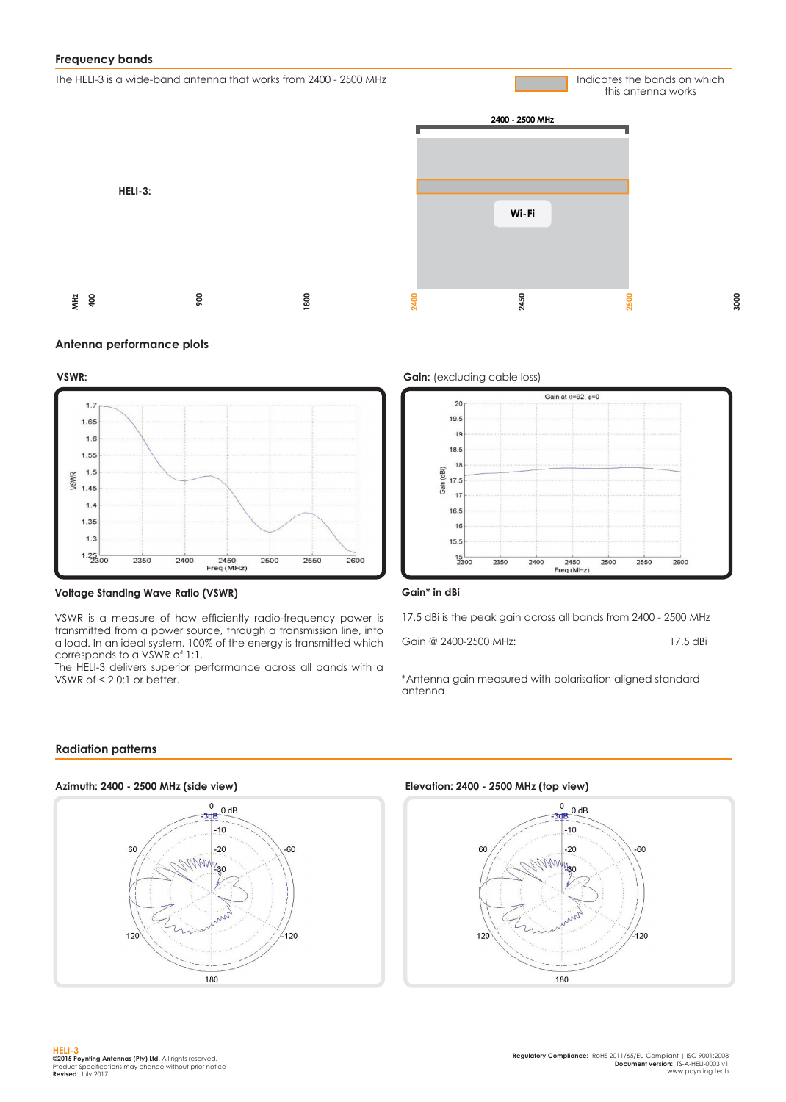# **Frequency bands**

The HELI-3 is a wide-band antenna that works from 2400 - 2500 MHz

Indicates the bands on which this antenna works



#### **Antenna performance plots**



#### **Voltage Standing Wave Ratio (VSWR)**

VSWR is a measure of how efficiently radio-frequency power is transmitted from a power source, through a transmission line, into a load. In an ideal system, 100% of the energy is transmitted which corresponds to a VSWR of 1:1.

The HELI-3 delivers superior performance across all bands with a VSWR of  $< 2.0$ :1 or better.





#### **Gain\* in dBi**

17.5 dBi is the peak gain across all bands from 2400 - 2500 MHz

Gain @ 2400-2500 MHz: 17.5 dBi

\*Antenna gain measured with polarisation aligned standard antenna

## **Radiation patterns**



**Elevation: 2400 - 2500 MHz (top view)**